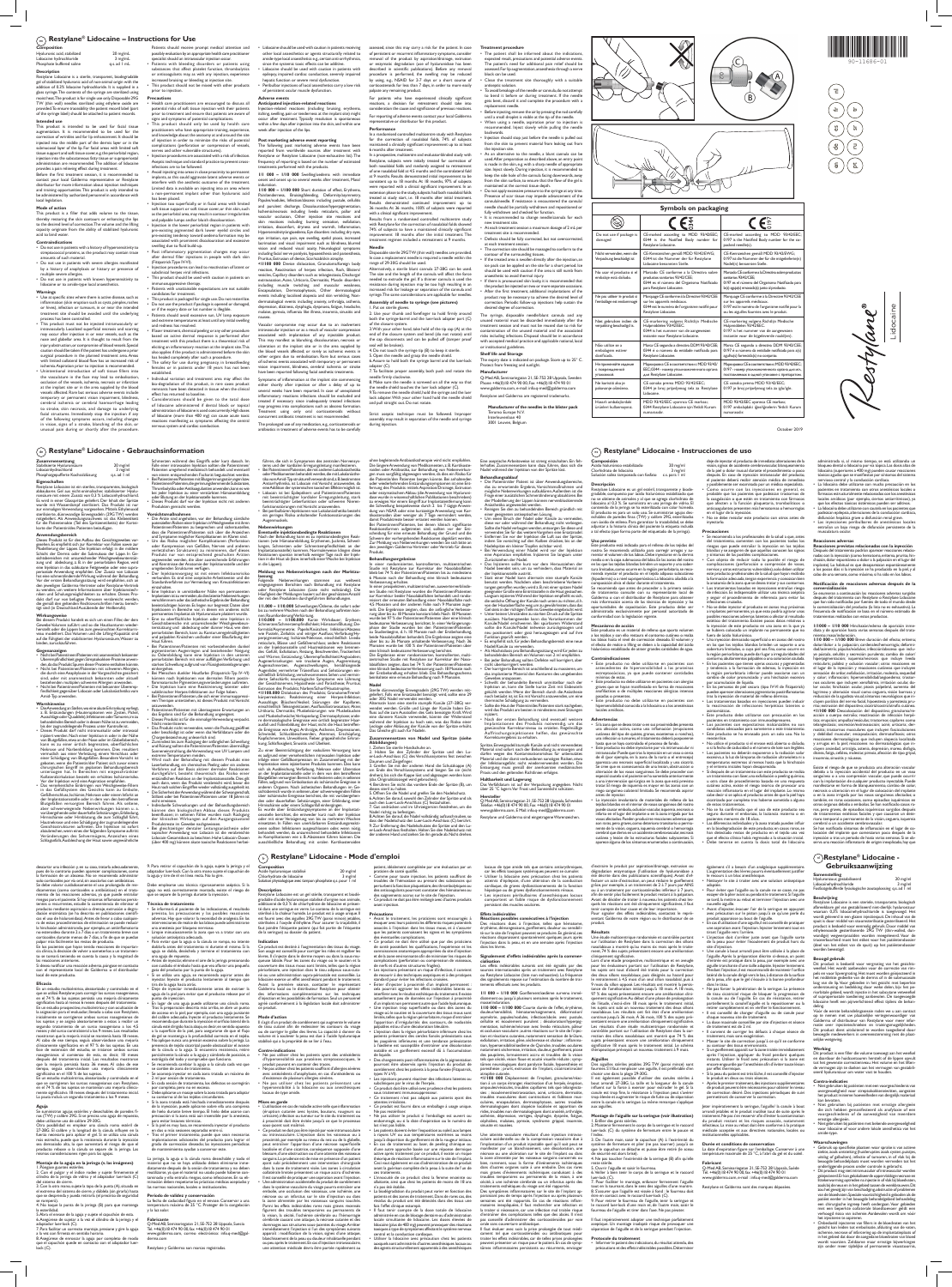October 2019

**Manufacturer of the needles in the blister pack**  Terumo Europe N.V.

Do not use if package damaged

 $\circledR$ 

Interleuvenlaan 40 3001 Leuven, Belgium



Nicht verwenden, wenn d Verpackung beschädigt ist CE-marked according to MDD 93/42/EEC; 0344 is the Notified Body number for

 $\epsilon^{\rm s}_{\rm s}$ 

CE-Kennzeichen gemäß MDD 93/42/EWG; 0344 ist die Nummer der für Restylane Lidocaine benannten Stelle.

Marquage CE conforme à la Directive 93/42/CEE .<br>r les appareils médicaux 0344 est le numéro de l'organisme notifié po

No usar el producto si el embalaje está dañado.

> CE-markering volgens Richtlijn Medische Hulpmiddelen 93/42/EEC. 0344 is het nummer van de aangewezen stantie voor Restylane Lidocain

Marcado CE conforme a la Directiva sobre productos sanitarios 93/42/CEE; 0344 es el número del Organismo Notificado

para Restylane Lidocaine.

**Restylane Lidocaine.** 

estylane Lidocaine.

Marca CE segundo a directiva DDM 93/42/CEE; nero da entidade notificada pa

Ne pas utiliser le produit si l'emballage est endommagé

> $EFC: 0344 - HOMED YTO$ для Restylane Lidocaine.

Ne koristiti ako je pakovanje oštećeno CE oznaka prema MDD 93/42/EEC; .<br>344 je broj prijavljenog tela za Restyla

Niet gebruiken indien de verpakking beschadigd is.

> **Gebruiksaanwijzing**  $(n)$ Restylane<sup>®</sup> Lidocaine -

CE-Kennzeichen gemäß MDD 93/42/EWG; 0197 ist die Nummer der für die mitgelieferte(n) Nadel(n) benannten Stelle. Marcado CE conforme a la Directiva sobre productos sanitarios 93/42/CEE; 0197 es el número del Organismo Notificado para la(s) aguja(s) envasada(s) junto al producto. Marquage CE conforme à la Directive 93/42/CEE les appareils médicaux. 0197 est le numéro de l'organisme notifié pour l ou les aiguilles fournies avec le produit. CE-markering volgens Richtlijn Medische Hulpmiddelen 93/42/EEC. 0197 is het nummer van de aangewezen tantie voor de bijgeleverde naald(en) Marca CE segundo a directiva DDM 93/42/CEE 0197 é o número da entidade notificada para a(s) agulha(s) fornecida(s) no conjunto. Маркировка CE в соответствии с MDD 93/42/EEC; 0197 - номер уполномоченного органа для иг. поставляемых в одной упаковке с препаратом.<br>В одной упаковке с препара CE oznaka prema MDD 93/42/EEC; 0197 je broj prijavljenog tela za iglu/igle. MDD 93/42/EEC uyarınca CE markası; 0197 ambalajdaki iğne/iğnelerin Yetkili Kurum numarasıdır.

CE-marked according to MDD 93/42/EEC 0197 is the Notified Body number for the co-

 $\epsilon$ 

acked needle(s).

Não utilize se a embalagem estiver danificada.

Не применяйте изделие поврежденной упаковкой.

Маркировка CE в соответствии с MDD 93/42/

Lidocaine.

gradable, compuesto por ácido hialurónico estabilizado que<br>no se obtiene de animales y al que se agrega clorhidrato de<br>lidocaína al 0,3 %. Se suministra en una jeringa de vidrio. El<br>contenido de la jeringa se ha esteriliza

Hasarlı ambalajlardaki ürünleri kullanmayınız. MDD 93/42/EEC uyarınca CE markası; 0344 Restylane Lidocaine için Yetkili Kurum numarasıdır.

stylane Lidocaine.

Use at specific sites where there is active disease, such as inflammation (skin eruption such as cysts, pimples, rashes or hives), infection or tumours, in or near the intended treatment site should be avoided until the underlying process has been controlled. • This product must not be injected intramuscularly or

**Symbols on packaging**

Lidocaine

Lidocain

Wane

## $\binom{m}{en}$  Restylane® Lidocaine – Instructions for Use

# **Composition**

| Hyaluronic acid, stabilized | $20$ mg/mL       |
|-----------------------------|------------------|
| Lidocaine hydrochloride     | 3 mg/mL          |
| Phosphate buffered saline   | $q.s.$ ad $l$ mL |
|                             |                  |

Patients should receive prompt medical attention and possibly evaluation by an appropriate health care practitioner specialist should an intravascular injection occur. • Patients with bleeding disorders or patients using substances that affect platelet function, thrombolytics agulants may, as with any injection, experience

**Description** Restylane Lidocaine is a sterile, transparent, biodegradable gel of stabilized hyaluronic acid of non-animal origin with the addition of 0.3% lidocaine hydrochloride. It is supplied in a glass syringe. The contents of the syringe are sterilized using moist heat. The product is for single use only. Disposable 29G TW (thin wall) needles sterilized using ethylene oxide are provided. To ensure traceability the patient record label (part of the syringe label) should be attached to patient records.

• Health care practitioners are encouraged to discuss all potential risks of soft tissue injection with their patients prior to treatment and ensure that patients are aware of signs and symptoms of potential complications.

## **Intended use**

This product is intended to be used for facial tissue augmentation. It is recommended to be used for the correction of wrinkles and for lip enhancement. It should be injected into the middle part of the dermis layer or in the submucosal layer of the lip. For facial areas with limited soft tissue support and soft tissue cover, e.g. the periorbital region, injection into the subcutaneous fatty tissue or suprape administration are recommended. The addition of lidocaine

provides a pain relieving effect during treatment. Before the first treatment session, it is recommended to contact your local Galderma representative or Restylane distributor for more information about injection techniques and training opportunities. This product is only intended to be administered by authorized personnel in accordance with local legislation.

### **Mode of action**

This product is packaged for single use. Do not resterilize. • Do not use the product if package is opened or damaged, or if the expiry date or lot number is illegible. • Patients should avoid excessive sun, UV lamp exposure and extreme temperatures at least until any initial swelling

This product is a filler that adds volume to the tissue, thereby restoring the skin contours or enhancing the lips to the desired level of correction. The volume and the lifting capacity originate from the ability of stabilized hyaluronic acid to bind water.

## **Contraindications**

• Do not use in patients with a history of hypersensitivity to streptococcal proteins, as the product may contain trace amounts of such material.

• Do not use in patients with severe allergies manifested by a history of anaphylaxis or history or presence of multiple severe allergies.

• Do not use in patients with known hypersensitivity to lidocaine or to amide-type local anaesthetics.

Considerations should be given to the total dose of lidocaine administered if dental block or topical administration of lidocaine is used concurrently. High doses of lidocaine (more than 400 mg) can cause acute toxic reactions manifesting as symptoms affecting the central nervous system and cardiac conduction.

Produkten gemischt werd

Haut führen.<br>Bei Patientinn

### **Warnings**

The following post marketing adverse events have been reported from worldwide sources after treatment with Restylane or Restylane Lidocaine (non-exhaustive list). The frequency of reporting is based on the number of estimated ents performed with the products.

intravascularly. Localized superficial necrosis and scarring may occur after injection in or near vessels, such as th nose and glabellar area. It is thought to result from the injury, obstruction, or compromise of blood vessels. Special quity is a cause of the patient has undergone a prior aution should be taken if the patient has undergone a prio surgical procedure in the planned treatment area. Areas ed collateral blood flow has an increased risk of ischemia. Aspiration prior to injection is recommended. • Unintentional introduction of soft tissue fillers into the vasculature in the face may lead to embolisation, occlusion of the vessels, ischemia, necrosis or infarction at the implant site or in the area supplied by the blood vessels affected. Rare but serious adverse events include temporary or permanent vision impairment, blindness, cerebral ischemia or cerebral haemorrhage leading to stroke, skin necrosis, and damage to underlying facial structures. Immediately stop the injection if any of the following symptoms occurs, including changes in vision, signs of a stroke, blanching of the skin, or unusual pain during or shortly after the procedure.

Vascular compromise may occur due to an inadvertent intravascular injection or as a result of vascular compression associated with implantation of any injectable product. This may manifest as blanching, discolouration, necrosis or lceration at the implant site or in the area supplied by

vision impairment, blindness, cerebral ischemia or stroke adapter (C). 7. To facilitate proper assembly, both push and rotate the dle firmly clockwise.

reported following facial aesthetic treatments. Symptoms of inflammation at the implant site commencing either shortly after injection or after a delay of up to several weeks have been reported. In case of unexplained inflammatory reactions infections should be excluded and treated if necessary since inadequately treated infections may progress into complications such as abscess formation.

The prolonged use of any medication, e.g., corticosteroids or treatment of adverse events has to be carefull

increased bruising or bleeding at injection site. • This product should not be mixed with other products prior to injection. **Precautions**

• This product should only be used by health care practitioners who have appropriate training, experience, and knowledge about the anatomy at and around the site of injection in order to minimize the risks of potential

In a randomised controlled multicentre study with Restylane for the correction of nasolabial folds, 74% of subjects maintained a clinically significant improvement up to at least

In a prospective, multicentre and evaluator-blinded study with hane, subjects were initially treated for correction of both nasolabial folds and randomly assigned to retreatment of one nasolabial fold at 4.5 months and the contralateral fold at 9 months. Results demonstrated initial improvement to be consistent up to 18 months. At 18 months. 97% of subjects

ment regimen included a retreatment at 9 months.

complications (perforation or compression of vessels, nerves and other vulnerable structures). tion procedures are associated with a risk of infection. Aseptic technique and standard practice to prevent crossinfections are to be followed.

• Avoid injecting into areas in close proximity to permanent implants, as this could aggravate latent adverse events or interfere with the aesthetic outcome of the treatment. Limited data is available on injecting into an area where a non-permanent implant other than hyaluronic acid has been placed.

> ision and reduced visual acuity, Neurological symptom including facial nerve paralysis, hypoaesthesia and paraesthesia, Pruritus, Extrusion of device, Scar/scab/skin atrophy. **<1/100 000** Device dislocation, Granuloma/foreign body reaction, Reactivation of herpes infection, Rash, Blisters/ vesicles, Capillary disorders such as telangiectasia, Discharge/ extravasation, Acne, Urticaria, Dermatitis, Muscle disorders including muscle twitching and muscular weakness, Encapsulation, Dermatophytosis, Other dermatological Disposable sterile 29G TW (thin wall) needles are provided. In case a replacement needle is required a needle within the range of 29-30G should be used. tively, a sterile blunt cannula 27-28G can be used. The size and the length of the cannula will affect the force needed to extrude the gel. If a thinner cannula is used the resistance during injection may be too high resulting in an

• Injection too superficially, or in facial areas with limited soft tissue support or soft tissue cover, or thin skin, such as the periorbital area, may result in contour irregularities and palpable lumps and/or bluish discolouration. • Injection in the lower periorbital region in patients with pre-existing pigmented dark lower eyelid circles and pre-existing tendency toward oedema formation may be

associated with prominent discolouration and excessive swelling due to fluid build-up. • Post inflammatory pigmentation changes may occur after dermal filler injections in people with dark skin (Fitzpatrick Type IV-VI).

• Injection procedures can lead to reactivation of latent or subclinical herpes viral infections. • This product should be used with caution in patients on

immunosuppressive therapy. • Patients with unattainable expectations are not suitable candidates for treatment.

the injection site. As an alternative to the needle, a blunt cannula can be

is made in the skin, e.g. with a sharp needle of appropriate size. Inject slowly. During injection, it is recommended to from the skin surface, to ensure that the flow of the gel is • Do not apply excessive pressure to the syringe at any time. Presence of scar tissue may impede advancement of the

and redness has resolved. • If laser treatment, chemical peeling or any other procedure based on active dermal response is performed after treatment with this product there is a theoretical risk of eliciting an inflammatory reaction at the implant site. This also applies if the product is administered before the skin has healed completely after such a procedure. • The safety for use during pregnancy, in breastfeeding females or in patients under 18 years has not been

nent site is recommended. • Defects should be fully corrected, but not overcorrected,

established. • Individual variation and treatment area may affect the bio-degradation of this product, in rare cases product remnants have been detected in tissue when the clinical effect has returned to baseline.

**Zusammensetzung** Stabilisierte Hyaluronsäure 20 mg/ml Lidocainhydrochlorid 3 mg/ml<br>Phosphatgepufferte Kochsalzlösung q.s. ad 1 ml

Eigenschaften<br>Restylane Lidocaine ist ein steriles, transparentes, biologisch<br>abbaubares Gel aus nicht-animalischer, stabilisierter Hyalu-<br>ronsäure mit einem Zusatz von 0,3 % Lidocainhydrochlorid.<br>Es wird in einer Glasspri

**Adverse events Anticipated injection-related reactions**

sichtsbereichen mit unzureichender Weichgewebeunterstüt-zung und abdeckung, z. B. in der periorbitalen Region, wird eine Injektion in das subkutane Fettgewebe oder eine supra-periostale Anwendung empfohlen. Der Zusatz von Lidocain hat eine schmerzlindernde Wirkung während der Behandlung. Vor der ersten Behandlungssitzung wird empfohlen, sich ar den jeweiligen Galderma-Vertreter oder Restylane-Vertrieb um weitere Informationen über Injekti niken und Schulungsmöglichkeiten zu erhalten. Dieses Pro-dukt darf nur von befugten Personen verabreicht werden, die gemäß den geltenden Rechtsvorschriften hierzu berech-tigt sind (in Deutschland Ausübende der Heilberufe). **Wirkungsweise** Bei diesem Produkt handelt es sich um einen Filler, der dem Gewebe Volumen zuführt und so die Hautkonturen wiederherstellt oder die Lippen bis zum gewünschten Korrekturn eau modelliert. Das Volumen und die Lifting-Kapazität sind

Phosphatgepufferte Kochsalzlösung

Injection-related reactions (including bruising, erythema, itching, swelling, pain or tenderness at the implant site) might occur after treatment. Typically resolution is spontaneous within a few days after injection into the skin, and within one week after injection of the lips.

## **Post marketing adverse event reporting**

auf die Fähigkeit der stabilisierten Hy en, zurückzuführen **Gegenanzeigen**

• Nicht bei Patientinnen/Patienten mit anamnestisch bekannter Überempfindlichkeit gegen Streptokokken-Proteine anwenden, da das Produkt Spuren dieser Proteine enthalten könnte. • Nicht bei Patientinnen/Patienten mit schweren Allergien, die durch eine Anaphylaxie in der Vorgeschichte gesichert sind, oder mit anamnestisch bekannten oder aktuel bestehenden multiplen schweren Allergien anwenden.<br>Nicht bei Patientinnen/Patienten mit bekannter Übere • Nicht bei Patientinnen/Patienten mit bekannter Überemp-findlichkeit gegenüber Lidocain oder Lokalanästhetika vom Amid-Typ

**1/1 000 – 1/10 000** Swelling/oedema with immediate onset and onset up to several weeks after treatment, Mass/ induration. **1/10 000 – 1/100 000** Short duration of effect, Erythema,

iniiziert werden. Nach einer Injektion in oder in der Nähe ungefäßen, etwa an der Nase oder im Glabellabereich<br>von Blutgefäßen, etwa an der Nase oder im Glabellabereich<br>kann es zu einer örtlich begrenzten, oberflächlicher kann es zu einer örtlich begrenzten, oberflächlichen<br>Nekrose und Narbenbildung kommen. Dies resultiert<br>vermutlich aus einer Verletzung, einem Verschluss oder<br>einer Schädigung von Blutgefäßen. Besondere Vorsicht ist<br>geboten Vor der Injektion wird eine Aspiration empfohlen.

• Lidocaine should be used with caution in patients receiving other local anaesthetics or agents structurally related to amide-type local anaesthetics e.g., certain anti-arrhythmics, since the systemic toxic effects can be additive. Lidocaine should be used with caution in patients with epilepsy, impaired cardiac conduction, severely impaired hepatic function or severe renal dysfunction. • Peribulbar injections of local anaesthetics carry a low risk of persistent ocular muscle dysfunction. assessed, since this may carry a risk for the patient. In case of persistent or recurrent inflammatory symptoms, consider removal of the product by aspiration/drainage, extrusion or enzymatic degradation (use of hyaluronidase has been described in scientific publications). Before any removal procedure is performed, the swelling may be reduced by using, e.g., NSAID for 2-7 days or a short course of oids for less than 7 days, in order to more easily palpate any remaining product.

events including localised alopecia and skin wrinkling, Non-

nausea.

• Der Injektionsvorgang ist mit einem Infektionsrisiko verbunden. Es sind eine aseptische Arbeitsweise und die Standardverfahren zur Vermeidung von Kreuzinfektionen einzuhalten. • Eine Injektion in unmittelbarer Nähe von permanenten Implantaten ist zu vermeiden, da dies latente Nebenwirkungen verschlimmern oder das ästhetische Ergebnis der Behandlung beeinträchtigen könnte. Es liegen nur begrenzt Daten über Injektionen in Bereiche vor, in denen ein anderes nicht permanentes Implantat als Hyaluronsäure platziert wurde. • Eine zu oberflächliche Injektion oder eine Injektion in Gesichtsbereiche mit unzureichender Weichgewebeun-<br>terstützung und abdeckung oder dünner Haut, wie dem<br>periorbitalen Bereich, kann zu Konturunregelmäßigkeiten<br>und palpablen Knötchen und/oder einer Blaufärbung der

en/Patienten mit vorbestehenden dunkel pigmentierten Augenringen und bestehender Neigung zu Ödembildung kann eine Injektion in den unteren periorbitalen Bereich mit einer auffälligen Verfärbung und

Pain/tenderness, Bruising/bleeding, Deformity/asymmetry, Papules/nodules, Infection/abscess including pustule, cellulitis and purulent discharge, Discolouration/hyperpigmentation, Ischemia/necrosis including livedo reticularis, pallor and vascular occlusion, Other injection site reactions and skin reactions including burning sensation, exfoliation, irritation, discomfort, dryness and warmth, Inflammation, Hypersensitivity/angioedema, Eye disorders including dry eyes, eye irritation, eye pain, eye swelling, eyelid ptosis, increased lacrimation and visual impairment such as blindness, blurred consistent up to 18 months. At 18 months, 97% of subjects were reported with a clinical significant improvement. In an extension phase to the study, subjects had both nasolabial folds treated at study start, i.e. 18 months after initial treatment. Results demonstrated continued improvement up to 36 months. At 36 months, 100% of subjects were reported with a clinical significant improvement. Results from a randomised controlled multicentre study with Restylane for the correction of nasolabial folds showed 74% of subjects to have a maintained clinically significant improvement 18 months after the initial treatment. The

extreme Temperaturen meiden.<br>
Wird nach der Behandlung mit diesem Produkt eine<br>
Laserbehandlung ein chemisches Peeling oder ein anderes<br>
Verfahren auf der Basis aktiver dermaler Reaktionen<br>
durchgeführt, besteht theoretisc Stillzeit oder bei Patientinnen/Patienten unter 18 Jahren ist nicht erwiesen.

dermatological events including anxiety, arthralgia, asthenia, depression, dizziness, dysphagia, dyspnoea, fatigue, headache, malaise, pyrexia, influenza like illness, insomnia, sinusitis and increased risk for leakage or separation of the cannula and syringe. The same considerations are applicable for needles. **Assembly of needle to syringe (see pictures)**

For patients who have experienced clinically significant eactions, a decision for retreatment should take consideration the cause and significance of previous reactions. For reporting of adverse events contact your local Galderma representative or distributor for this product.

**Performance**

führen, die sich in Symptomen des zentralen Nervensystem.<br>tems und der kardialen Erregungsleitung manifestieren.<br>• Bei Patientinnen/Patienten, die mit anderen Lokalanästhetika<br>• oder Medikamenten behandelt werden, die mit tika vom Amid-Typ strukturell verwandt sind, z. B. bestimmter Antiarrhythmika, ist Lidocain mit Vorsicht anzuwenden, d eine Addition der systemischen toxischen Effekte möglich ist. • Lidocain ist bei Epileptikern und Patientinnen/Patienten mit beeinträchtigter kardialer Erregungsleitung, stark beeinträchtigter Leberfunktion oder schweren Nierenfunktionsstörungen mit Vorsicht anzuwenden. • Bei peribulbären Injektionen von Lokalanästhetika besteht ein geringes Risiko anhaltender Funktionsstörungen des Augenmuskels. 6 months after treatment.

the blood vessels affected; or rarely as ischemic events in other organs due to embolisation. Rare but serious cases of ischemic events associated with temporary or permanent 5. Open the needle and grasp the needle shield. 6. Assure to hold both the syringe barrel and the luer-lock

Schmerzen/Schmerzempfindlichkeit; Hämatom/Blutung; De-formität/Asymmetrie; Papeln/Knötchen; Infektion/Abszess wie Pusteln, Zellulitis und eitriger Ausfluss; Verfärbung/Hyperpigmentierung; Ischämie/Nekrose, einschließlich Livedo reticularis, Blässe und Gefäßverschluss; andere Reaktionen an der Injektionsstelle und Hautreaktionen wie brennen des Gefühl, Exfoliation, Reizung, Beschwerden, Trockenheit und Wärme; Entzündung; Überempfindlichkeit/Angioöden;

Treatment using only oral corticosteroids without concurrent antibiotic treatment is not recommended. and pull straight out. Do not rotate.

### **Needle**

Es wurde über Entzündungssymptome an der Implantati-onsstelle berichtet, die entweder kurz nach der Injektion oder mit einer Verzögerung von bis zu mehreren Wochen einsetzten. In Fällen von unerklärbaren Entzündungsreaktionen sollten Infektionen ausgeschlossen oder, wenn nötig, behandelt werden, da unzureichend behandelte Infektionen zu Komplikationen wie z. B. Abszessen führen können. Die chließliche Behandlung mit oralen Kortikoste

1. Put on sterile gloves. 2. Use your thumb and forefinger to hold firmly around both the syringe-barrel and the luer-lock adapter part (C) of the closure system. 3. With your other hand, take hold of the tip cap (A) at the

end of the closure system and bend (do not rotate) until the cap disconnects and can be pulled off (tamper proof seal will be broken). 4. Do not touch the syringe tip (B) to keep it sterile.

ohne begleitende Antibiotikatherapie wird nicht empfohlen. Die längere Anwendung von Medikamenten, z. B. Kortikoste-<br>roiden oder Antibiotika, zur Behandlung von Nebenwirkun-<br>gen muss sorgfältig abgewogen werden, da dies ein Risiko für<br>die Patientin/den Patienten bergen könnte. Bei oder wiederkehrenden Entzündungssymptomen ist eine Ent-fernung des Produkts mittels Aspiration/Drainage, Extrusion oder enzymatischem Abbau (die Anwendung von Hyaluroni-

8. Make sure the needle is screwed on all the way so that the needle shield touches the luer lock adapter (C). 9. To remove the needle shield, hold the syringe and the luer lock adapter. With your other hand hold the needle shield

dase wurde in wissenschaftlichen Publikationen beschrieben)<br>zu erwägen.Vor einem Eingriff zur Implantatenfernung kann<br>die Schwellung beispielsweise durch 2 bis 7 tägige Anwendung von NSAR oder eine kurzzeitige Anwendung vo Produkt.

Verbesserung erhalten. In einer prospektiven, multizentrischen, auswerterverblinde-ten Studie mit Restylane wurden die Patientinnen/Patienten zur Korrektur beider Nasolabialfalten behandelt und rando-<br>misiert der erneuten Behandlung einer Nasolabialfalte nach<br>4,5 Monaten und der anderen Falte nach 9 Monaten zuge-<br>teilt. Die Ergebnisse zeigten, dass die anfänglic zu Studienbeginn, d. h. 18 Monate nach der Erstbehandlung,<br>beide Nasolabialfalten behandelt. Die Ergebnisse zeigten eine<br>über bis zu 36 Monate anhaltende Verbesserung, Nach 36<br>Monaten wurde bei 100 % der Patientinnen/Patie

Strict aseptic technique must be followed. Improper assembly may result in separation of the needle and syringe

during injection.

Ge) Restylane® Lidocaine - Gebrauchsinformation **Restylang and Secure 2016** and Restylane® Lidocaine - Instrucciones de uso

**Treatment procedure** The patient shall be informed about the indications, expected result, precautions and potential adverse events. The patient's need for additional pain relief should be

assessed. For lip augmentation, anaesthesia through a nerve

block can be used. Clean the treatment site thoroughly with a suitable antiseptic solution.

labialfalten zeigten, dass bei 74 % der Patientinnen/Patienten eine klinisch bedeutsame Verbesserung auch 18 Monate nach der Erstbehandlung erhalten blieb. Das Behandlungsschema beinhaltete eine erneute Behandlung nach 9 Monate

• To avoid breakage of the needle or cannula, do not attempt to bend it before or during treatment. If the needle gets bent, discard it and complete the procedure with a

replacement needle.

• Before injecting, remove the air by pressing the rod carefully until a small droplet is visible at the tip of the needle.

• When using a needle, aspiration prior to injection is recommended. Inject slowly while pulling the needle backwards.

geliefert. Falls eine Ersatznadel benötigt wird, sollte eine 29<br>oder 30G Nadel verwendet werden.<br>Alternativ kann eine sterile stumpfe Kanüle (27–28G) ver-<br>wendet werden. Größe und Länge der Kanüle haben Einfluss auf die zum Ausstoßen des Gels benötigte Kraft. Wird eine dünnere Kanüle verwendet, könnte der Widerstand während der Injektion zu hoch sein, was das Risiko einer Leckage oder Ablösung der Kanüle von der Spritze erhöht. Das Gleiche gilt auch für Nadeln. **Zusammensetzen von Nadel und Spritze (siehe** 

**Abbildungen)**<br>1. Ziehen Sie sterile Handschuhe an.<br>2. Halten Sie den Zylinder der Spritze und den Lu-<br>er-Lock-Anschluss (C) des Verschlusssystems fest zwischen Daumen und Zeigefinger. 3. Greifen Sie mit der anderen Hand die Schutzkappe (A) am Ende des Verschlusssystems und biegen Sie sie (nicht

• Injection should stop just before the needle is pulled out from the skin to prevent material from leaking out from used. After preparation as described above, an entry point

keep the side hole of the cannula facing downwards, away maintained at the correct tissue depth.

cannula/needle. If resistance is encountered the cannula/ needle should be partially withdrawn and repositioned or fully withdrawn and checked for function.

• It is recommended to change needle/cannula for each new treatment site. • At each treatment session a maximum dosage of 2 mL per

einer geeigneten antiseptischen Lösung.<br>• Um einen Bruch der Nadel oder Kanüle zu vermeiden,<br>• Um einen Bruch der Nadel oder Behandlung nicht verbiegen.<br>Sollte die Nadel verbogen werden, entsorgen Sie diese und<br>verwenden S Entfernen Sie vor der Injektion die Luft aus der Spritze indem Sie vorsichtig auf den Kolben drücken, bis an der Nadelspitze ein kleiner Tropfen sichtbar wird.

• Bei Verwendung einer Nadel wird vor der Injektion eine Aspiration empfohlen. Injizieren Sie langsam unter Zurückziehen der Nadel. • Das Injizieren sollte kurz vor dem Herausziehen der Nadel beendet sein, um zu verhindern, dass Material an der Injektionsstelle austritt. • Statt einer Nadel kann alternativ eine stumpfe Kanüle benutzt werden. Nachdem oben beschriebene Vorbereitungen getroffen wurden, wird z. B. mit einer spitzen Nadel<br>geeigneter Größe eine Eintrittsstelle in die Haut gestochen.<br>Langsam injizieren.Während der Injektion empfiehlt es sich,<br>die seitliche Öffnung der Kanüle nach unt

at each treatment session. • The correction site should be massaged to conform to the

contour of the surrounding tissues. • If the treated area is swollen directly after the injection, an ice pack can be applied on the site for a short period. Ice

should be used with caution if the area is still numb from anaesthetic to avoid thermal injury. • If there is pronounced skin laxity, it is recommended that the product be injected on two or more separate occasions. • After the first treatment, additional implantations of the

product may be necessary to achieve the desired level of correction. Periodic follow-up injections help sustain the

desired degree of correction. The syringe, disposable needle/blunt cannula and any unused material must be discarded immediately after the treatment session and must not be reused due to risk for contamination of the unused material and the associated risks including infections. Disposal should be in accordance with accepted medical practice and applicable national, local or institutional guidelines.

**Shelf life and Storage** The expiry date is indicated on package. Store up to 25° C. Protect from freezing and sunlight. **Manufacturer**

Q-Med AB, Seminariegatan 21, SE-752 28 Uppsala, Sweden Phone +46(0)18 474 90 00, Fax +46(0)18 474 90 01 www.galderma.com, e-mail: info.q-med@galderma.com Restylane and Galderma are registered trademarks.

> El producto es para un solo uso. Se suministran agujas des-<br>echables de paredes finas (TW) y calibre 29G, esterilizadas<br>con óxido de etileno. Para garantizar la trazabilidad, se debe<br>adjuntar a la historia clínica del paci a tal efecto (que forma parte del etiquetado de la jeringa).

mitgeliefert. Als Anwendungsnachweis ist das Klebeetikett für die Patientenakte (Teil des Spritzenetiketts) der Kartei-karte der Patientin/des Patienten beizufügen.

**Anwendungsbereich**<br>Dieses Produkt ist für den Aufbau des Gesichtsgewebes vor-<br>gesehen. Es empfiehlt sich zur Korrektur von Falten sowie zur<br>Modellierung der Lippen. Die Injektion erfolgt in die mittlere<br>Schicht der Dermis

• Este producto no debe utilizarse en pacientes con alergias graves que se hayan manifestado en forma de reacc

**Mecanismo de acción**<br>Este producto es un material de relleno que aporta volumen<br>a los tejidos y con ello restaura el contorno cutáneo o realza<br>los labios hasta el nivel de corrección deseado. El volumen y

Se cree que es consecuencia de una lesión, obstrucción o<br>alteración de los vasos sanguíneos. Se debe proceder con<br>especial cautela si el paciente se ha sometido anteriormente<br>a una intervención quirúrgica en la zona que es tratar. El riesgo de isquemia es mayor en las zonas con un riego sanguíneo colateral limitado. Se recomienda aspirar antes de inyectar.

• La inyección involuntaria de materiales de relleno de los<br>tejidos blandos en el interior de vasos sanguíneos del rostro<br>puede causar embolia, oclusión vascular, isquemia, necrosis o<br>infarto en el lugar del implante o en vasos afectados. Pueden producirse reacciones adversas que son raras, pero graves, como deterioro transitorio o perm nente de la visión, ceguera, isquemia cerebral o hemorragi<br>nente de la visión, ceguera, isquemia cerebrovascular necros cerebral que deriva en un accidente cerebrovascular, necrosis cutánea y lesión de las estructuras faciales subyacentes. Si aparece alguno de los síntomas enumerados a continuación, de estos tratamientos. • No se ha confirmado que el uso de este producto sea seguro durante el embarazo, la lactancia materna o en pacientes menores de 18 años. • Las diferencias individuales y la zona tratada pueden influir en la biodegradación de este producto; en casos raros, se<br>han detectado restos de producto en el tejido una vez<br>que el efecto clínico había regresado a la situación inicial.<br>• Debe tenerse en cuenta la dosis total de lidoc

Se recomienda a los profesionales de la salud a que, antes del tratamiento, comenten con los pacientes todos los riesgos que puede entrañar la inyección en los tejidos blandos y se aseguren de que aquellos conocen los signos y síntomas de las posibles complicaciones. • Con objeto de reducir todo lo posible el riesgo de complicaciones (perforación o compresión de vasos, nervios y otras estructuras vulnerables), solo deben utilizar

**Warnhinweise** • Die Anwendung an Stellen, wo eine akute Erkrankung vorliegt, z. B. Entzündungen (Hauteruptionen wie Zysten, Pickel, Ausschläge oder Quaddeln), Infektionen oder Tumoren, im zu Inden Bereich oder in dessen Nähe ist zu verr bis der zugrundeliegende Prozess unter Kontrolle ist. • Dieses Produkt darf nicht intramuskulär oder intravasal

filácticas o de múltiples reacciones alérgicas intensa pasadas o presentes. • Este producto no debe utilizarse en pacientes con hipersensibilidad conocida a la lidocaína o a los anestésicos pueden aparecer alteraciones pigmentarias postinflamatorias tras la inyección de material de relleno dérmico. • Los tratamientos basados en inyecciones pueden inducir la reactivación de infecciones herpéticas latentes o

> o si la fecha de caducidad o el número de lote son ilegibles. Los pacientes no deberán exponerse a la radiación sola excesiva, a la luz de lámparas de radiación ultravioleta ni a<br>temperaturas extremas al menos basta que la binchazón

Este producto no debe inyectarse por vía intramuscular i intravascular. Puede que tras la inyección en un vaso o cerca de él (por ejemplo, en la zona de la nariz o el entrecejo) a<br>zca una necrosis superficial localizada y una cicatri reesterilice. • No utilice el producto si el envase está abierto o dañado, temperaturas extremas al menos hasta que la hinchazón y el eritema iniciales hayan desaparecido. • Si después de un tratamiento con este producto se realiza un tratamiento con láser, una exfoliación o peeling químico,

> u otra clase de procedimiento basado en una respuesta cutánea activa, existe el riesgo teórico de provocar una reacción inflamatoria en el lugar del implante. Lo mismo cabe decir si se aplica el producto antes de que la piel haya icatrizado por completo tras haberse sometido a algun<br>e estos tratamientos

• Das versehentliche Einbringen von Weichgewebe-Fillern in das Gefäßsystem des Gesichts kann zu Embolie, Gefäßverschluss, Ischämie, Nekrose oder einem Infarkt an der Implantationsstelle oder in dem von den betroffene Blutgefäßen versorgten Bereich führen. Als seltene, aber schwerwiegende Nebenwirkungen können u. a. vorübergehende oder dauerhafte Sehstörungen, Erblindung, Hirnischämie oder Hirnblutung, die zum Schlagfall führt, Hautnekrose und eine Schädigung der zugrundeliegenden Gesichtsstrukturen auftreten. Die Injektion ist sofort abzubrechen, wenn eines der folgenden Symptome auftritt: Veränderungen des Sehvermögens, Anzeichen eines Schlaganfalls, Ausbleichung der Haut sowie ungewöhnliche

Schmerzen während des Eingriffs oder kurz danach. Im Falle einer intravasalen Injektion sollten die Patientinnen/ Patienten umgehend medizinisch behandelt und eventuell von einem entsprechenden Facharzt begutachtet werden. • Bei Patientinnen/Patienten mit Blutgerinnungsstörungen bzw. Patientinnen/Patienten, die gerinnungshemmende Substanzen, Thrombolytika oder Antikoagulantien anwenden, kann es wie bei jeder Injektion zu einer verstärkten Hämatombildung oder Blutung an der Injektionsstelle kommen. • Dieses Produkt darf vor der Injektion nicht mit anderen

inistrada si, al mismo tiempo, se está utiliza bloqueo dental o lidocaína por vía tópica. Las dosis altas de lidocaína (superiores a 400 mg) pueden causar reacciones tóxicas agudas que se manifiestan por síntomas del sistema nervioso central y la conducción cardiaca. • La lidocaína debe utilizarse con mucha precaución en los pacientes en tratamiento con otros anestésicos locales o fármacos estructuralmente relacionados con los anestésicos locales amídicos (por ejemplo, ciertos antiarrítmicos), ya que los efectos tóxicos sistémicos pueden ser aditivos. • La lidocaína debe utilizarse con cautela en los pacientes que padezcan epilepsia, alteraciones de la conducción cardiaca disfunción hepática grave o disfunción renal grave. • Las inyecciones peribulbares de anestésicos locales entrañan un bajo riesgo de disfunción persistente de la musculatura ocular.

**Vorsichtsmaßnahmen** • Die Ärzte sind angehalten, vor der Behandlung sämtliche potenziellen Risiken einer Injektion in Weichgewebe mit ihren Patientinnen/Patienten zu besprechen und sicherzustellen,

dass die Patientinnen/Patienten sich über die Anzeichen<br>und Symptome möglicher Kompilikationen im Klaren sind.<br>• Um das Risiko möglicher Komplikationen (Perforation<br>oder Kompression von Gefäßen, Nerven und anderen<br>verletzl

**1/1000 – 1/10 000** Hinchazón/edema de aparición inmediata y de aparición hasta varias semanas después del tratamiento; masa/induración. **1/10 000 – 1/100 000** Breve duración del efecto; eritema; dolor/dolor a la palpación; cardenales/hemorragia; deformi-dad/asimetría; pápulas/nódulos; infección/absceso que inclu-ye pústula, celulitis y secreción purulenta; cambio de color/ hiperpigmentación; isquemia/necrosis que incluye livedo reticularis; palidez y oclusión vascular; otras reacciones en el lugar de la inyección y reacciones cutáneas que incluyen sensación de ardor, exfoliación, irritación, molestia, sequedad y calor; inflamación; hipersensibilidad/angioedema; trastor-nos oculares que incluyen xeroftalmia, irritación ocular, do

nos oculares que incluyen xerofralmia, irritación ocular, do-<br>lor ocular, hinchazón ocular, ptosis palpebral, aumento del<br>lagrimeo y alteración visual como ceguera, visión borrosa y<br>reducción de la agudeza visual; síntomas

acción a cuerpo extraño; reactivación de infección herpética; erupción; ampollas/vesículas; trastornos capilares como telangiectasia; secreción/extravasación; acné; urticaria; dermatitis; trastornos musculares que incluyen fasciculaciones y debilidad muscular; encapsulación; dermatofitosis; otras reacciones dermatológicas que incluyen alopecia localizada y arrugas en la piel; reacciones no dermatológicas que inen ansiedad, artralgia, astenia, depresión, mareo, disfagia disnea, fatiga, cefalea, malestar, pirexia, afección de tipo gripa

Existe el riesgo de que se produzca una alteración vascula debido a la inyección accidental del producto en un vaso sanguíneo o a una compresión vascular, que puede ocurrir con la implantación de cualquier producto inyectable. Puede manifestarse en forma de blanqueamiento, cambio de color, necrosis o ulceración en el lugar de colocación del implante<br>o en la zona irrigada por los vasos sanguineos afectados; o<br>también, en raras ocasiones, como episodios isquémicos en<br>otros órganos debido a embolias. Se han not ros, pero graves, de episodios isquémicos surgidos después de tratamientos estéticos faciales y que causaron un dete e d'administre en la remanente de la visión, ceguera, isquemi cerebral o un accidente cerebrovascular.<br>Se han notificado síntomas de inflamación en el lugar de co Se han notificado síntomas de inflamación en el lugar de co-<br>locación del implante que comenzaron poco después de la<br>inyección o tras un periodo de hasta varias semanas. Si se ob-<br>serva una reacción inflamatoria de origen

sinusitis y náuseas.

descartar una infección y, en su caso, tratarla adecuadame pues de lo contrario pueden aparecer complicaciones, como la formación de un absceso. No se recomienda administrar solo corticoides por vía oral, sin asociarlos con antibióticos. Se debe valorar cuidadosamente el uso prolongado de me-dicamentos (como corticoides o antibióticos) en el trata-

miento de las reacciones adversas, ya que puede entrañar<br>riegos para el paciente. Si hay síntomas inflamatorios persis-<br>tentes o recurrentes, estudie la conveniencia de eliminar el<br>producto mediante aspiración o drenaje, e dación enzimática (se ha descrito en publicaciones científi-cas el uso de hialuronidasa). Antes de llevar a cabo cualquiera de estos procedimientos de eliminación se puede reducir la hinchazón administrando, por ejemplo, un antiinflamatorio no esteroideo durante 2 a 7 días o un tratamiento breve con corticoides durante menos de 7 días, a fin de que se puedan palpar más fácilmente los restos de producto.

• Bei Patientinnen/Patienten, die sich einer immunsuppressi-ven Therapie unterziehen, ist dieses Produkt mit Vorsicht anzuwenden. • Patientinnen/Patienten mit überzogenen Erwartungen an das Ergebnis sind für die Behandlung ungeeignet. • Dieses Produkt ist für die einmalige Verwendung verpackt.

que se utilizó Restylane para corregir los surcos nasogenianos, en el 74 % de los sujetos persistía una mejoría clínicamente significativa hasta al menos 6 meses después del tratamiento. En un estudio prospectivo, multicéntrico y con ocultación de la asignación para el evaluador, llevado a cabo con Restylane, inicialmente se corrigieron ambos surcos nasogenianos de segundo tratamiento de un surco nasogeniano a los 4,5 meses y del surco contralateral a los 9 meses. Los resultados mostraron que la mejoría inicial se mantenía hasta 18 meses.<br>Al cabo de ese tiempo, seguía observándose una mejoría<br>clínicamente significativa en el 97 % de los sujetos. En una<br>fase de extensión del estudio, se trataron am nasogenianos al comienzo de esta, es decir, 18 meses después del tratamiento inicial. Los resultados mostraron que la mejoría persistía hasta 36 meses. Al cabo de ese tiempo, seguía observándose una mejoría clínicamente punto de inyección. • En lugar de una aguja puede utilizarse una cánula roma. extráigala del todo y compruebe que funciona.<br>Se recomienda cambiar la aguja o la cánula cada vez que

Nicht resterilisieren. • Das Produkt nicht verwenden, wenn die Packung geöffnet oder beschädigt ist oder wenn das Verfalldatum oder die

Chargenbezeichnung unleserlich sind. • Zumindest bis zum Rückgang der anfänglichen Schwellung

Zu einer Beeinträchtigung der vaskulären Versorgung kann<br>es aufgrund einer versehentlichen intravasalen linektion oder<br>infolge einer Gefäßkompression im Zusammenhang mit der<br>Implantation eines injizierbaren Produkts kommen sichtsbereich wurde in seltenen, aber schwerwiegenden Fällen<br>über ischämische Ereignisse berichtet, die mit vorübergehen-<br>den oder dauerhaften Sehstörungen, einer Erblindung, einer<br>Hirnischämie oder einem Schlaganfall einh

und Rötung sollten die Patientinnen/Patienten übermäßige Sonneneinstrahlung, die Verwendung von UV Lampen und

en el 74 % de los sujetos se mantenían una mejoría clínicamente significativa 18 meses después del tratamiento inicial. La pauta incluía un segundo tratamiento a los 9 meses. **Aguja** Se suministran agujas estériles y desechables de paredes finas (TW) y calibre 29G. Si se precisa una aguja de repuesto, debe utilizarse una de calibre 29-30G. Otra posibilidad es emplear una cánula roma estéril de 27-28G. El calibre y la longitud de la cánula influyen en la fuerza necesaria para aplicar el gel. Si se utiliza una cánula más estrecha, puede que la resistencia durante la inyección sea demasiado alta, lo que aumentará el riesgo de que el producto rebose o la cánula se separe de la jeringa. Las nas consideraciones rigen para las agujas **Montaje de la aguja en la jeringa (v. las imágenes)** 1. Póngase guantes estériles. 2. Con el pulgar y el índice rodee y sujete firmemente el cializar cilindro de la jeringa de vidrio y el adaptador luer-lock (C) del sistema de cierre. 3. Con la otra mano, sujete la tapa de la punta (A), situada en el extremo del sistema de cierre, y dóblela (sin girarla) hast

• Individuelle Schwankungen und der Behandlungsbereich können den biologischen Abbau dieses Produkts beeinflussen; in seltenen Fällen wurden nach Rückgang der klinischen Wirkungen auf den Ausgangszustand Produktreste im Gewebe nachgewiesen.

• Bei gleichzeitiger dentaler Leitungsanästhesie oder topischer Anwendung von Lidocain ist die verabreichte Lidocain-Gesamtdosis zu beachten. Hohe Lidocain-Dosen (über 400 mg) können akute toxische Reaktionen herbei-

Augenerkrankungen wie trockene Augen, Augenreizung,<br>Augenschmerzen, Augenschwellungen, herabhängende<br>Augenlider, vermehrter Tränenfluss und Sehstörungen einschließlich Erblindung, verschwommenes Sehen und verminderte Sehsc **<1/100.000** Dislokation des Produkts; Granulome/Fremdkörperreaktion; Reaktivierung einer Herpes-Infektion<br>Ausschlage; Bläschen/Vesikel; Störungen der Kapillaren

Ausschlage; Biäschen/Vesikel; Störungen der Kapillaren,<br>einschließlich Teleangiektasien; Ausfluss/Extravasation; Akne;<br>einschließlich Teleangiektasien; Ausfluss/Extravasation; Akne;<br>und Muskelschwäche; Verkapselung; Dermat

9. Para retirar el capuchón de la aguja, sujete la jeringa y el adaptador luer-lock. Con la otra mano sujete el capuchón de **Composition** Acide hyaluronique stabilisé 20 mg/ml Chlorhydrate de lidocaïne 3 mg/m Solution physiologique avec tampon phosphate q.s. pour I m

## Debe emplearse una técnica rigurosamente aséptica. Si la aguja no está correctamente montada, existe el riesgo de que se separe de la jeringa durante la inyección

**Nebenwirkungen Eventuelle injektionsbedingte Reaktionen**

Nach der Behandlung kann es zu injektionsbedingten Reak-tionen (wie Hämatombildung, Erythemen, Juckreiz, Schwel-lungen, Schmerzen oder Schmerzempfindlichkeit an der

**Meldung von Nebenwirkungen nach der Marktzulassung**<br>Folgende Nebenwirkungen stammen aus weltweit<br>eingegangenen-Berichten-nach-Behandlung-mit-Restylane oder Restylane Lidocaine (Liste nicht vollständig). Die Häufigkeit der Meldungen basiert auf der geschätzten Anzahl der mit den Produkten durchgeführten Behandlungen.

**1/1.000 – 1/10.000** Schwellungen/Ödeme, die sofort oder<br>bis zu mehrere Wochen nach der Behandlung auftreten kön-<br>nen; Raumforderung/Verhärtung.<br>**1/10.000 – 1/100.000** Kurze Wirkdauer; Erythem;

en dos o más sesiones separadas entre sí. • Tras el primer tratamiento, puede que sean necesarias implantaciones adicionales del producto para lograr el grado de corrección deseado; las inyecciones periódicas mantenimiento ayudan a conservar este.

que no se haya utilizado deben eliminarse inme diatamente después de la sesión de tratamiento y no deben reutilizarse, ya que el material no usado puede haberse contaminado y ello entraña riesgos, como infecciones. En su eli-minación deben respetarse las prácticas médicas aceptadas y .<br>Restylane Lidocaine est un gel stérile, transparent et biodé<br>gradable d'acide hyaluronique stabilisé d'origine non animale gradable d'acide hyaluronique stabilisé d'origine non animale, additionné de 0,3 % de chlorhydrate de lidocaïne et présenté dans une seringue en verre. Le contenu de la seringue est stérilisé à la chaleur humide. Le produit est à usage unique. Il est fourni avec des aiguilles 29G TW (paroi mince) jetables, stérilisées à l'oxyde d'éthylène. Pour assurer la traçabilité, il faut joindre l'étiquette patient (qui fait partie de l'étiquette de la seringue) au dossier du patient.

**Indication**<br>Ce produit est destiné à l'augmentation des tissus du visage.<br>Son usage est conseillé pour corriger les rides et regalber les lèvres. Il s'injecte dans le derme moyen ou dans la sous-muqueuse labiale. Pour les zones du visage où le soutien et la<br>couverture des tissus mous sont limités, telles que la région<br>périorbitaire, une injection dans le tissu adipeux sous-cuta-<br>né ou une administration supra-périos lidocaïne exerce un effet anesthésiant pendant le traitement. Avant la première séance, contacter le représentan Galderma local ou le distributeur Restylane pour obtening des informations complémentaires sur les technique des informations complémentaires sur les techniques d'injection et les possibilités de formation. Seul un personnel agréé conformément à la législation locale doit administrer

• Ce produit ne doit pas être injecté par voie intramusculaire ou intravasculaire. L'injection dans les vaisseaux ou à proximité, par exemple au niveau du nez ou de la glabelle,<br>peut entraîner l'apparition d'une nécrose superficielle<br>localisée et d'une cicatrice, conséquence supposée d'une<br>blessure, d'une obstruction ou d'une atteinte des sanguins. La prudence est de mise en présence d'un patient ayant subi précédemment une intervention chirurgicale dans la zone de traitement visée. Les zones à circulation collatérale limitée présentent un risque accru d'ischémie.<br>Il est conseillé de pratiquer une aspiration avant l'injection.<br>• Une administration accidentelle du produit de comblement<br>dans le système vasculaire du visage pou embolie, une occlusion des vaisseaux, une ischémie, une nécrose ou un infarctus sur le site d'injection ou dans la zone alimentée par les vaisseaux sanguins touchés. Parmi les effets indésirables rares mais graves recensés figurent des troubles temporaires ou permanents de la vision, la cécité, l'ischémie cérébrale ou l'hémorragie cérébrale causant une attaque, la nécrose cutanée et des dommages aux structures sous-jacentes du visage. Arrête ment l'injection si l'un des symptômes suivant

## Implantationsstelle) kommen. Normalerweise klingen diese Reaktionen spontan innerhalb weniger Tage nach der Injek-tion in die Haut ab (bzw. innerhalb einer Woche bei Injektion in die Lippen). **Behandlungsergebnisse**

In einer randomisierten, kontrollierten, multizentrischen<br>Studie mit Restylane zur Korrektur der Nasolabiafialten<br>blieb bei 74 % der Patientinnen/Patienten bis zu mindestens<br>6 Monate nach der Behandlung eine klinisch bedeu

patient, idéalement complétée par une évaluation par un praticien de santé qualifié. • Comme pour toute injection, les patients souffrant de troubles de l'hémostase ou prenant des substances que perturbent la fonction plaquettaire, des thrombolytiques ou perturbent la fonction plaquettaire, des thrombolytiques ou<br>des anticoagulants pourront constater des hématomes ou<br>des saignements accrus sur le site de l'injection.<br>• Ce produit ne doit pas être mélangé avec d'autres prod

avant injection **Précautions**

Ce produit ne doit être utilisé que par des praticiens de santé possédant les qualifications, l'expérience et les connaissances anatomiques appropriées du site d'injection et de la zone environnante afin de minimiser les risques de

subcliniques par le virus de l'herpès. subellingues par le virus de mempes.<br>Ce produit doit être utilisé avec prudence chez les patients **Réactions possibles consécutives à l'injection** Des réactions dues à l'injection, telles que hématome,<br>érythème, démangeaisons, gonflement, douleur ou sensibili-<br>té sur le site de l'implant peuvent se produire. En général, ces<br>réactions disparaissent spontanément quelqu l'injection dans la peau, et en une semaine après l'injection

eine klinisch bedeutsame Verbesserung berichtet. Die Ergebnisse einer randomisierten, kontrollierten, multi-zentrischen Studie mit Restylane zur Korrektur der Naso-

tômes neurologiques dont paralysie faciale, hypoesthésie et paresthésie ; prurit, extrusion de l'implant, cicatrice/croûte/ atrophie cutanée. **<1/100 000** Déplacement de l'implant, granulome/réaction à un corps étranger, réactivation d'un herpès, éruption, ampoules/vésicules, troubles capillaires tels que télangiectasies ; écoulement/extravasation, acné, urticaire, deri troubles musculaires dont contractions et faiblesse musculaires, encapsulation, dermatophytose, autres troubles dermatologiques dont alopécie localisée et apparition de<br>rides, troubles non dermatologiques dont anxiété, arthralgie,<br>asthénie, dépression, vertiges, dysphagie, dyspnée, fatigue,<br>céphalées, malaises, pyrexie, syndrome gri

**Nadel** Sterile dünnwandige Einwegnadeln (29G TW) werden mit-

sinusite et nausées. Une atteinte vasculaire résultant d'une injection intravas-<br>culaire accidentelle ou de la compression vasculaire due à

drehen), bis sich die Kappe löst und abgezogen werden kann (das Originalitätssiegel wird gebrochen). 4. Berühren Sie nicht das vordere Ende der Spritze (B), um

dieses steril zu halten.<br>5. Öffnen Sie die Nadel und greifen Sie den Nadelschutz.<br>6.Achten Sie darauf, sowohl den Zylinder der Spritze und als<br>auch den Luer-Lock-Anschluss (C) festzuhalten.<br>7. Gut andrücken und im Uhrzeige

été décrite dans des publications scientifiques). Avant d'effectuer un acte d'extraction, on peut réduire le gonfle grâce, par exemple, à un traitement de 2 à 7 jours par AINS ou à un traitement par corticostéroïdes inférieur à 7 jours, afin de sentir plus facilement le produit restant à la palpation.<br>Avant de décider de traiter à nouveau les patients chez les-<br>quels les réactions ont été cliniquement significatives, il faut<br>tenir compte de leur cause et Pour signaler des effets indésirables, contactez le repré-sentant Galderma de votre région ou le distributeur de ce produit. avec précaution sur le piston jusqu'à ce qu'une perle du<br>produit apparaisse au bout de l'aiguille.<br>• En cas d'utilisation d'une aiguille, il est conseillé de pratiquer<br>une aspiration avant l'injection. Injecter lentement t

Nadel richtig zu befestigen. 8. Achten Sie darauf, die Nadel vollständig aufzuschrauben, so dass der Nadelschutz den Luer-Lock-Anschluss (C) berührt. 9. Zur Entfernung des Nadelschutzes die Spritze und den Lu-er-Lock-Anschluss festhalten. Halten Sie den Nadelschutz mit der anderen Hand und ziehen Sie ihn gerade ab. Nicht drehen.

 $\Gamma_{\text{fr}}$  **Restylane® Lidocaine - Mode d'emploi** 

**Résultats** Une étude multicentrique randomisée et contrôlée portant sur l'utilisation de Restylane dans la correction des sillons asolabiaux a montré qu'au moins six mois après le traite ment, 74 % des sujets présentaient encore une amélioratio

Eine aseptische Arbeitsweise ist streng einzuhalten. Ein feh-lerhaftes Zusammensetzen kann dazu führen, dass sich die Nadel während der Injektion von der Spritze löst. **Behandlungsablauf** • Die Patientin/der Patient ist über Anwendungsbereiche,

Anästhetika angewendet werden. • Reinigen Sie den zu behandelnden Bereich gründlich mit

Il est également possible d'utiliser des canules stériles à bout arrondi 27-28G. La taille et la longueur de la canule influent sur la force à exercer pour extruder le gel. Si la canule est trop fine, la résistance à l'injection peut s'avérer trop élevée et augmenter le risque de fuite ou de séparation entre la canule et la seringue. La même remarque s'applique

9. Pour retirer le fourreau de l'aiguille, tenir la seringue et le raccord luer-lock d'une main et, de l'autre main, saisir le reau de l'aiguille et tirer dans l'axe. Ne pas p Il faut impérativement adopter une technique parfaitement aseptique. Un montage inadapté risque de provoquer une séparation de l'aiguille et de la seringue pendant l'injection.

• Informer le patient des indications, du résultat attendu, des précautions et des effets indésirables possibles. Déter

von der Hautoberfläche weg, um zu gewährleisten, dass das Gel stets in der richtigen Tiefe ins Gewebe eingebracht wird. • Unter keinen Umständen zu starken Druck auf die Spritze ausüben. Narbengewebe kann das Vorankommen der<br>Kanüle/Nadel erschweren. Bei spürbarem Widerstand<br>sollte die Kanüle/Nadel teilweise zurückgezogen und<br>neu positioniert oder ganz herausgezogen und auf ihre Funktion geprüft werden. • Es empfiehlt sich, für jeden Behandlungsbereich eine neue

> l'aiguille. Après la préparation décrite ci-dessus, un point<br>d'entrée est pratiqué dans la peau, par exemple avec une<br>aiguille tranchante d'une taille adaptée. Injecter lentement.<br>Pendant l'injection, il est recommandé de de la peau, afin que le gel s'écoule à la bonne profondeur

• Si un gonflement apparaît sur la zone traitée immédiatement après l'injection, appliquer du froid pendant quelques instants. Utiliser le froid avec précaution si la zone est encore engourdie par l'anesthésie afin d'éviter toute lésion par effet thermique. ffet thermique.<br>•eau du patient est très lâche, il est conseillé d'injecter le produit en deux ou trois séances. • Après le premier traitement, des injections supplémentaires de produit peuvent être nécessaires pour obtenir le niveau de correction désiré. Des injections périodiques de suiv

nicht überkorrigiert werden. • Der korrigierte Bereich ist anschließend zu massieren, um das implantierte Material den Konturen des umgebenden Gewebes anzupassen. • Schwillt der behandelte Bereich unmittelbar nach der Injektion an, kann die Stelle kurze Zeit mit Eisbeuteln gekühlt werden. Wenn der Bereich durch die Anästhesie noch betäubt ist, ist Eis mit Vorsicht anzuwenden, um eine thermische Schädigung zu vermeiden. • Sollte die Haut der Patientin/des Patienten stark nachgeben, wird das Produkt am besten in mindestens zwei Sitzungen injiziert. • Nach der ersten Behandlung sind eventuell weitere Implantationen des Produkts notwendig, um das gewünschte Korrekturniveau zu erzielen. Regelmäßige Auffrischungsinjektionen helfen, das gewünschte

> innelles applicables **Durée et conditions de conservation**

Q-Med AB, Seminariegatan 21, SE-752 28 Uppsala, Suède Tél. +46(0)18 474 90 00, fax +46(0)18 474 90 01 www.galderma.com, e-mail : info.q-med@galderma.com Restylane et Galderma sont des marques dépos

Korrekturergebnis zu erhalten. Spritze, Einwegnadel/stumpfe Kanüle und nicht verwendetes<br>Material sind sofort nach der Behandlung zu entsorgen und<br>dürfen wegen des Kontaminationsrisikos für unbenutztes<br>Material und der damit verbundenen sonstigen Risike Praxis und den geltenden Richtlinien erfolgen.

## **Haltbarkeit und Lagerung** Das Verfalldatum ist auf der Verpackung angegeben. Nicht

wandige) wegwerpnaalden worden meegeleverd. Voor de traceerbaarheid moet het etiket voor het patiëntendossier deel van het etiket van de spuit) op het patiëntendossie

über 25 °C lagern. Vor Frost und Sonnenlicht schützen. **Hersteller**<br>Q Med AB, Seminariegatan 2 I, SE-752 28 Uppsala, Schweden<br>Telefon +46(0) I 8 474 90 00, Fax +46(0) I 8 474 90 0 I www.galderma.com, E Mail: info.q-med@galderma.com

Restylane und Galderma sind eingetragene Warenzeichen.

**Composición** Ácido hialurónico estabilizado 20 mg/ml Clorhidrato de lidocaína 3 mg/ml Solución salina tamponada con fosfato c.s. para I ml **Descripción** Restylane Lidocaine es un gel estéril, transparente y biode-

das zu erwartende Ergebnis, Vorsichtsmaßnahmen und<br>mögliche Nebenwirkungen aufzuklären. Außerdem ist die<br>Frage einer zusätzlichen Schmerzlinderung abzuklären. Bei<br>der Modellierung der Lippen können nervenblockierende

Nadel/Kanüle zu verwenden. • Als Höchstdosis pro Behandlungssitzung wird für jeden zu behandelnden Bereich ein Volumen von 2 ml empfohlen. • Bei jeder Behandlung sollten Defekte voll korrigiert, aber el efecto de realce o lifting se deben a la capacidad del ácido hialurónico estabilizado de atraer grandes cantidades de agua.



• Niet gebruiken bij patiënten met een voorgeschiedenis van overgevoeligheid voor streptokokkeneiwitten, aangezien het product minieme hoeveelheden van dergelijk materiaal kan bevatten. • Niet gebruiken bij patiënten met ernstige allergieën die zich hebben gemanifesteerd als anafylaxie of een voorgeschiedenis of de aanwezigheid van meerdere ernstige allergieën. • Niet gebruiken bij patiënten met bekende overgevoeligheid voor andere lokale anesthetical van het van het van het van het van het van het van het van het van het van het van het van het van het van het van het van het van het van het van het van het van het van het van het van he

**Waarschuwingen**<br>• Gebruik op specifieke plaatsen waar sprake is van actieve<br>ziekte, zoals ontsteking (huiderupties zoals cysten, puistjes,<br>uitslag of galbulten), infectie of tumoren, in of vlak bij de

beoogde behandelplaats moet worden vermeden tot het<br>onderliggende proces onder controle is gebracht.<br>• Dit product mag niet intramusculair of intravasculair worden<br>geïnjecteerd.Er kan gelokaliseerde oppervlakkige necrose e littekenvorming optreden na injectie in of vlak bij bloedvaten, zoals bij de neus en in het gebied tussen de wenkbrauwen. Dit zou het gevolg zijn van beschadiging, obstructie of problemen van de bloedvaten. Speciale voorzichtigheid is geboden als de patiënt eerder in het beoogde behandelgebied behandeling<br>een chirurgische ingreep heeft ondergaan. Voor gebieden<br>met een beperkte collaterale bloedtoevoer geldt een<br>verhoogd risico van ischemie. Aanbevolen wordt om vóór

het injecteren te aspireren.<br>• Onbedoeld injecteren van fillers in de bloedvaten van het<br>• gezicht kan leiden tot embolisatie, afsluiting van de vaten,<br>sichemie, necrose of infarcering op de implantatieplaats of<br>• in het g

**Uso previsto**

Este producto está indicado para el relleno de los tejidos del rostro. Se recomienda utilizarlo para corregir arrugas y aumentar el volumen de los labios. Debe inyectarse en la dermis<br>media o en la capa submucosa del labio. En las zonas del rostro<br>media o en la capa submucosa del labi tura limitados, como ocurre en la región periorbitaria, se reco mienda invectar el producto en el teiido adiposo subcutáne (hipodermis) o a nivel supraperióstico. La lidocaína añadida a la composición alivia el dolor durante el tratamiento. Se recomienda que antes de proceder a la primera sesión de tratamiento consulte con su representante local de Galderma o con el distribuidor de Restylane para obtener más información acerca de las técnicas de inyección y las oportunidades de capacitación. Este producto debe ser administrado exclusivamente por personal autorizado de

conformidad con la legislación vigente.



<u> III III III III III III II</u>

**Contraindicaciones** • Este producto no debe utilizarse en pacientes con antecedentes de hipersensibilidad a las proteínas estreptocócicas, ya que puede contener cantidade mínimas de estas. contorno, abultamientos palpables o una coloración azulada. • En los pacientes que tienen ojeras oscuras y pigmentadas y tendencia a la formación de edemas, la inyección en la región periorbitaria inferior puede asociarse con un cambio de color pronunciado y una hinchazón excesiva

deje de inyectar el producto de inmediato: alteraciones de la visión, signos de accidente cerebrovascular, blanqueamiento de la piel o dolor inusual durante el procedimiento o poco después. En caso de inyección intravascular del producto, el paciente deberá recibir atención médica de inmediato y posiblemente ser examinado por un médico especialista. • Como ocurre con las inyecciones en general, es probable que los pacientes que padezcan trastornos de la coagulación o que estén en tratamiento con fármacos que afecten a la función plaquetaria, trombolíticos o anticoagulantes presenten más hematomas o hemorragias

en el lugar de la inyección.

locales amídicos. asintomáticas. • Este producto debe utilizarse con precaución en los

Advertencias<br>
Si azona que se desea tratar o en sus proximidades presenta<br>
Si azona que se desea tratar o en sus proximidades presenta<br>
una néección activa, como una inflamación (erupciones<br>
cutáneas del tipo de quistes, g

• No se debe mezclar este producto con otros antes de

inyectarlo. **Precauciones**

este producto profesionales de la salud que hayan recibido la formación adecuada, tengan experiencia y conozcan bien la anatomía de la zona que se desea tratar y sus contornos.

• Los tratamientos basados en inyecciones entrañan riesgo de infección. Es indispensable utilizar una técnica aséptica y seguir el procedimiento de referencia para evitar las infecciones cruzadas. • No se debe inyectar el producto en zonas muy próximas a implantes permanentes, ya que esto podría agravar unas posibles reacciones adversas latentes o afectar al resultado stético del tratamiento. Existen pocos datos relativos a la inyección de este producto en una zona en la que ya se hubiera colocado un implante no permanente que no fuera de ácido hialurónico. • Una inyección demasiado superficial o en zonas del rostro en las que los tejidos blandos brinden un soporte o una cobertura limitados, o cuya piel sea fina, como ocurre en la región periorbitaria, puede dar lugar a irregularidades del

.<br>En las personas de piel oscura (tipo IV-VI de Fitzpatrick)

por acumulación de líquido.

pacientes en tratamiento con inmunodepresores. • Los pacientes con expectativas inalcanzables no son candidatos adecuados para someterse a este tratamiento. • Este producto se ha envasado para un solo uso. No lo

**Reacciones adversas**

**Reacciones previstas relacionadas con la inyección** Después del tratamiento podrían aparecer reacciones relacio-<br>nadas con la inyección (como hematoma, eritema, prurito, hin-<br>chazón, dolor espontáneo o dolor a la palpación en el lugar del<br>implante). Lo habitual es que desap a los pocos días si la inyección se ha producido en la piel, y al cabo de una semana, como máximo, si ha sido en los labios. **Notificación de reacciones adversas después de la Comercialización**<br>Se enumeran a continuación las reacciones adversas surgidas<br>después del tratamiento con Restylane o Restylane Lidocaine<br>que han sido notificadas por fuentes de todo el mundo desde la comercialización del producto (la lista no es exhaustiva). La frecuencia de notificación se basa en el número estimado de tratamientos realizados con estos productos.

En los pacientes que hayan tenido reacciones de importancia clínica, la decisión de volver a someterlos a un tratamie to se tomará teniendo en cuenta la causa y la magnitud de Si desea notificar una reacción adversa, póngase en contacto con el representante local de Galderma o el distribuidor

las reacciones anteriores.

local de este producto.

**Eficacia**

starken Schwellung aufgrund von Flüssigkeitseinlage einhergehen. • Bei Menschen dunkler Hautfarbe (Fitzpatrick-Typ IV–VI) können nach Injektionen von dermalen Fillern postinflammatorische Pigmentierungsveränderungen auftreten. • Die Injektion kann eine Reaktivierung latenter oder subker Herpes-Infektionen zur Folge haben.<br>ientinnen/Patienten, die sich einer immunsu

En un estudio multicéntrico, aleatorizado y controlado en el

los sujetos y se asignó aleatoriamente a estos a recibir un segundo tratamiento de un surco nasogeniano a los 4,

la esterilidad. 5. Abra el envase de la aguja y sujete el capuchón de esta. 6. Asegúrese de sujetar a la vez el cilindro de la jeringa y el adaptador luer-lock (C). 7. Para facilitar un correcto montaje, presione y gire la aguja

la aguja y tire de él en línea recta. No lo gire.

significativa en el 100 % de los sujetos. En un estudio multicéntrico, aleatorizado y controlado en el que se corrigieron los surcos nasogenianos con Restylane, su contorno al de los tejidos circundantes.

**Técnica de tratamiento** • Se informará al paciente de las indicaciones, el resultado previsto, las precauciones y las posibles reacciones adversas. Hay que valorar la necesidad de analgesia. En las intervenciones de realce de los labios puede administrarse una anestesia por bloqueo nervioso. • Limpie minuciosamente la zona que va a tratar con una

solución antiséptica adecuada. • Para evitar que la aguja o la cánula se rompa, no intente doblarla antes del tratamiento ni durante el mismo. Si la aguja se dobla, deséchela y termine el tratamiento con ,<br>a aguja de repuesto. • Antes de inyectar, elimine el aire de la jeringa presionando con cuidado el émbolo hasta que vea aflorar una pequeña gota del producto por la punta de la aguja. • Si se utiliza una aguja, se recomienda aspirar antes de inyectar. Inyecte el producto lentamente al tiempo que tira de la aguja hacia atrás.

• Deje de inyectar inmediatamente antes de extraer la aguja de la piel para evitar que el producto rebose por el

que se desprenda y pueda retirarla (el precinto de seguridad se romperá). 4. No toque la punta de la jeringa (B) para que mantenga y la luz solar.

Tras la preparación descrita más arriba, se abre un punto de acceso en la piel; por ejemplo, con una aguja punzante del calibre adecuado. Inyecte el producto lentamente. Se recomienda que durante la inyección el orificio lateral de la cánula esté dirigido hacia abajo, es decir, en sentido opuesto<br>a la superficie de la piel, para asegurarse de que el flujo<br>de gel se mantenga a la profundidad correcta en el tejido.<br>• No aplique nunca una presión excesiva de la cánula o la aguja. Si encuentra resistencia, retire parcialmente la cánula o la aguja y cámbiela de posición, o

2 ml por sesión de tratamiento.<br>En cada sesión de tratamiento, los defectos se corregirán

a la vez con firmeza en sentido horario. 8. Asegúrese de enroscar la aguja por completo de modo que el capuchón quede en contacto con el adaptador luer-lock (C). derma.com

• Se recomienda cambiar la aguja o la cánula cada vez que se cambie de zona de tratamiento. • Se aconseja inyectar en cada zona tratada un máximo de 2 ml por sesión de tratamiento.

por completo, pero no en exceso. • Debe aplicarse un masaje sobre la zona tratada para adaptar

# sa contomo a de los tejidos el candantes.<br>Si la zona tratada está hinchada inmediatamente después **Mises en garde**<br>• L'utilisation en cas de maladie active telle que inflammation<br>• (éruption cutanée avec kystes, boutons, rougeurs ou<br>urticaire), infection ou tumeur sur le site du traitement ou<br>à proximité doit être évit

de la inyección, puede aplicarse sobre ella una compresa de hielo durante breve tiempo. El hielo debe usarse con precaución si la zona está aún insensible por la anestesia, para evitar lesiones térmicas. • Si la piel es muy laxa, se recomienda inyectar el producto

La jeringa, la aguja o la cánula roma desechable y todo el las normas nacionales, locales o institucionales.

**Periodo de validez y conservación** La fecha de caducidad figura en el envase. Conservar a una temperatura máxima de 25 °C. Proteger de la congelación

**Fabricante**<br>Q-Med AB, Seminariegatan 21, SE-752 28 Uppsala, Suecia<br>Tel. +46(0)18 474 90 00, fax +46(0)18 474 90 01

Restylane y Galderma son marcas registradas.

**Description**

ce produit. **Mode d'action**

Il s'agit d'un produit de comblement qui augmente le volume de tissu cutané afin de redessiner les contours du visage ou de corriger le galbe des lèvres. La capacité à donner du volume et à soulever la peau est due à l'acide hyaluronique stabilisé qui a la propriété de se lier à l'eau.

**Contre-indications**

www.galderma.com, correo electrónico: info.q-med@galapparaît : modification de la vision, signes d'une attaque,

• Ne pas utiliser chez les patients ayant des antécédents d'hypersensibilité aux protéines streptococciques, le produit pouvant en contenir des traces.

hypersensibilité à la lidocaïne ou aux anesthésiques

locaux de type amide.

ous-jacent soit maîtrisé.

• Ne pas utiliser chez les patients souffrant d'allergies sévères avec antécédents d'anaphylaxie, en cas d'antécédents ou d'existence de plusieurs allergies sévères. • Ne pas utiliser chez les patients présentant une nt chez les patients à la peau foncée (Fitzpatrick, et al., types IV à VI). • Les injections peuvent réactiver des infections latentes ou

• Avant le traitement, les praticiens sont encouragés à évoquer avec leurs patients les différents risques potentiels associés à l'injection dans les tissus mous, et à s'assurer que les patients connaissent les signes et les symptômes des éventuelles complications.

complications (perforation ou compression de vaisseaux, de nerfs et d'autres structures fragiles). • Les injections présentant un risque d'infection, il convient de recourir à des techniques aseptiques et à des pratiques standard pour éviter les infections croisées. • Éviter d'injecter à proximité d'un implant permanent : cela pourrait aggraver les effets indésirables latents ou interférer avec le résultat esthétique du traitement. Il existe actuellement peu de données sur l'injection à proximité d'un implant non permanent autre que l'acide hyaluronique. • Une injection trop superficielle ou dans des zones du visage où le soutien et la couverture des tissus mous sont lités, telles que la région périorbitaire, risque d'entraîner l'apparition d'irrégularités des contours, de nodosités palpables et/ou d'une décoloration bleuâtre.

• L'injection dans la région périorbitaire inférieure chez les<br>patients présentant des cercles foncés préexistants sous<br>les paupières inférieures et une tendance préexistante<br>à l'œdème est susceptible d'entraîner une décol

blanchissement de la peau ou douleur inhabituelle pendant ou peu après le traitement. En cas d'injection intravasculaire, une attention médicale devra être portée rapidement au • Utiliser la lidocaïne avec précaution chez les patients auxquels sont administrés d'autres anesthésiques locaux ou des agents structurellement apparentés à des anesthésiques

notable et un gonflement excessif dû à l'accumulation de liquide. • Des changements post-inflammatoires de la pigmentation pourront être observés après l'injection du produit de

sous traitement immunosuppresseur. • Ce traitement n'est pas adapté aux patients ayant des attentes irréalistes. • Ce produit est fourni dans un emballage à usage unique.

Ne pas restériliser. • Ne pas utiliser le produit si l'emballage est ouvert ou

endommagé, ou si la date d'expiration ou le numéro de lot n'est pas lisible. • Les patients doivent éviter l'exposition au soleil, aux lampes à rayons UV ou aux températures extrêmes au moins jusqu'à disparition du gonflement et de la rougeur initiaux. • En cas de traitement au laser, de peeling chimique ou d'une autre approche basée sur une réponse dermique

active après traitement par ce produit, il existe un risque théorique de réaction inflammatoire sur le site de l'implant. Ceci vaut également en cas d'administration de ce produit avant la guérison complète de la peau à la suite de l'un de

ces traitements. • L'innocuité de ce produit chez la femme enceinte ou allaitante, ainsi que chez les patients de moins de 18 ans n'a pas été établie.

• La biodégradation du produit peut varier en fonction des patients et des zones de traitement. Dans de rares cas, des résidus du produit ont été détectés dans des tissus une

fois l'effet clinique estompé. • Il faut tenir compte de la dose totale de lidocaïne administrée en cas de blocage dentaire ou d'administration locale simultanée de lidocaïne. Les doses élevées de lidocaïne (plus de 400 mg) peuvent provoquer des réactions toxiques à type de symptômes affectant le système nerveux central et la conduction cardiaque.

locaux de type amide tels que certains antiarythmiques, car les effets toxiques systémiques peuvent se cumuler. • Utiliser la lidocaïne avec précaution chez les patients atteints d'épilepsie, d'une altération de la conductio cardiaque, de graves dysfonctionnements de la fonction hépatique ou de graves dysfonctionnements rénaux. • Les injections péribulbaires d'anesthésiques locaux comportent un faible risque de dysfonctionnement

persistant des muscles oculaires.

**Effets indésirables**

dans les lèvres.

tements effectués avec les produits.

culaire accidentelle ou de la compression vasculaire due à l'implantation d'un produit injectable quel qu'il soit peut se manifester par un blanchissement, une décoloration, une nécrose ou une ulcération sur le site de l'implant ou dans la zone alimentée par les vaisseaux sanguins concernés ou bien, rarement, sous la forme d'événements ischémiques dans d'autres organes suite à une embolie. Des cas rares mais graves d'événements ischémiques conduisant à des

troubles temporaires ou permanents de la vision, à une<br>cécité, à une ischémie cérébrale ou un infarctus après des<br>traitements esthétiques du visage ont été rapportés.<br>Des symptômes inflammatoires sur le site de l'implant a paraissant peu de temps après l'injection ou après plusieurs semaines ont été rapportés. En cas de réactions inflammatoires inexpliquées, il faut rechercher une infection et<br>la traiter si nécessaire, car une infection mal traitée risque<br>d'entraîner des complications telles que des abcès. Il n'est<br>pas conseillé d'administrer des cortico

**Signalement d'effets indésirables après la commercialisation** Les effets indésirables suivants ont été signalés par des sources internationales après un traitement avec Restylane ou Restylane Lidocaine (liste non exhaustive). La fréquence des signalements repose sur l'estimation du nombre de trai-**1/1 000 – 1/10 000** Gonflement/œdème survenu immédiatement ou jusqu'à plusieurs semaines après le traitement, masse/induration. **1/10 000 – 1/100 000** Courte durée de l'effet, érythème, cliniquement significative. Lors d'une étude prospective, multicentrique et en aveugle pour les évaluateurs portant sur l'utilisation de Restylane, les sujets ont tout d'abord été traités pour la correction

douleur/sensibilité, hématome/saignement, déformation/ asymétrie, papules/nodules, infection/abcès avec pustule, écoulement purulent ; décoloration/hyperpig mentation, ischémie/nécrose avec livedo réticulaire, pâle et occlusion vasculaire ; autres réactions sur le site de l'injection et réactions cutanées, notamment sensation de brûlure,<br>exfoliation, irritation, gêne, sécheresse et chaleur ; inflamma-<br>tion, hypersensibilité/œdème de Quincke, troubles oculaires<br>notamment sécheresse, irritation, dou thérapeutique prévoyait un nouveau traitement à 9 mois.

Il faut évaluer avec soin la prise prolongée de tout médicament tel que corticostéroïdes ou antibiotiques pour traiter les effets indésirables, car de telles prises prolongées

peuvent présenter un risque pour le patient. En cas de symp-tômes inflammatoires persistants ou récurrents, envisager

des paupières, larmoiement accru et troubles de la vision tels que cécité, vision floue et acuité visuelle réduite ; symp-**Aiguilles** Des aiguilles stériles jetables 29G TW (paroi mince) sont fournies. S'il faut remplacer une aiguille, il est préférable d'en choisir une dans la plage 29-30G.

d'extraire le produit par aspiration/drainage, extrusion ou dégradation enzymatique (l'utilisation de hyaluronidase a adaptée. • Pour éviter que l'aiguille ou la canule ne se casse, ne pas

aux aiguilles.

**Montage de l'aiguille sur la seringue (voir illustration)** 1. Enfiler des gants stériles. 2. Maintenir fermement le corps de la seringue et le raccord luer-lock (C) du système de fermeture entre le pouce et

l'index. 3. De l'autre main, saisir le capuchon (A) à l'extrémité du système de fermeture et plier (ne pas tourner) jusqu'à ce que le capuchon se détache et puisse être retiré (le sceau de sécurité est alors brisé). 4. Ne pas toucher l'extrémité de la seringue (B) afin qu'elle

reste stérile.

5. Ouvrir l'aiguille et saisir le fourreau.

6. Veiller à bien tenir le corps de la seringue et le raccord luer-lock (C). 7. Pour faciliter le montage, enfoncer fermement l'aiguille tout en la tournant, dans le sens des aiguilles d'une montre. 8. S'assurer que l'aiguille est vissée à fond : le fourreau doit être en contact avec le raccord luer-lock (C).

des deux sillons nasolabiaux, puis désignés au hasard pour le retraitement à 4,5 mois d'un seul sillon nasolabial, puis à 9 mois du sillon opposé. Les résultats ont montré la persis-tance de l'amélioration initiale jusqu'à 18 mois. À 18 mois, 97 % des sujets présentaient encore une amélioration cliniquement significative. Au début d'une phase de prolongation de l'étude, c'est-à-dire 18 mois après le traitement initial, les sujets ont subi un nouveau traitement des deux sillons nasolabiaux. Les résultats ont fait état d'une amélioration continue jusqu'à 36 mois. À 36 mois, 100 % des sujets préentaient encore une amélioration cliniquement significativ Les résultats d'une étude multicentrique randomisée et contrôlée portant sur l'utilisation de Restylane dans la corection des sillons nasolabiaux ont montré que 74 % des sujets présentaient encore une amélioration cliniquement significative 18 mois après le traitement initial. Le schéma de tissu cicatriciel risque de bloquer la progression de<br>la canule ou de l'aiguille. En cas de résistance, retirer<br>partiellement la canule/l'aiguille et la repositionner ou la<br>retirer complètement et en vérifier le fonctio chaque nouveau site de traitement. • La dose maximale conseillée par site d'injection et séance • Il convient de corriger les défauts à chaque séance de traitement, mais sans exagération. • Masser le site de correction jusqu'à ce qu'il se conforme au contour des tissus environnants.

**Protocole du traitement**

également s'il a besoin d'un analgésique supplémentaire. L'augmentation des lèvres pourra éventuellement justifier

Nettoyer le site à traiter avec une solution antiseptique

le recours à un bloc anesthésique.

essayer de la plier avant ou pendant le traitement. Si l'aiguille se tord, la mettre au rebut et terminer l'injection avec une

nouvelle aiguille.

• Avant d'injecter, évacuer l'air de la seringue en appuyant

• L'injection doit s'arrêter juste avant que l'aiguille sorte de la peau pour éviter l'écoulement de produit hors du

site d'injection.

• Une canule à bout arrondi peut être utilisée à la place de

dans le tissu.

• Ne pas forcer la pénétration de la seringue. La présence

de traitement est de 2 ml.

permettront de conserver la correction.

Jeter impérativement la seringue, l'aiguille/ la canule à bout arrondi jetables et le produit inutilisé tout de suite après le traitement. Ne pas s'en resservir afin d'éviter la contamination du produit restant et les risques associés, notamment infectieux. La mise au rebut doit être conforme à la pratique médicale acceptée et aux directives nationales, locales ou

La date d'expiration figure sur l'emballage. Conserver à une température maximale de 25 °C, à l'abri du gel et du soleil.

**Fabricant**

**Samenstelling**

Hyaluronzuur, gestabiliseerd 20 mg/ml Lidocaïnehydrochloride 3 mg/ml Fosfaatgebufferde fysiologische zoutoplossing q.s. ad 1 ml

**Beschrijving**

Restylane Lidocaine is een steriele, transparante, biologisch

afbreekbare gel van gestabiliseerd niet-dierlijk hyaluronzuur<br>waaraan 0,3% lidocaïnehydrochloride is toegevoegd. Het<br>wordt geleverd in een glazen injectiespuit. De inhoud van de<br>spuit is door middel van stoomsterilisatie g

worden bevestigd. **Beoogd gebruik**

Dit product is bedoeld voor vergroting van het gezichtsweefsel. Het wordt aanbevolen voor de correctie van rim-pels en voor lipvergroting. Het moet worden geïnjecteerd in

het middelste gedeelte van de dermis of in de submucosale<br>laag van de lip. Voor gebieden in het gezicht met beperkte ondersteuning en bedekking door weke delen, bijv. het pe-<br>riorbitale gebied, wordt injectie in het subcut

deling. Vóór de eerste behandelingssessie raden we u aan contact op te nemen met uw plaatselijke vertegenwoordiger van Galderma of distributeur van Restylane voor meer informatie over injectietechnieken en trainingsmogelijkheden. Dit product dient uitsluitend te worden toegediend door bevoegde medewerkers in overeenstemming met de plaat-

selijke wetgeving.

**Werking** Dit product is een filler die volume toevoegt aan het weefsel en daardoor de huidcontouren herstelt of de lippen opvult tot het gewenste correctieniveau. Het volume en het liften-de vermogen zijn te danken aan het vermogen van gestabili-seerd hyaluronzuur om water vast te houden.

**Contra-indicaties**

.<br>de-type.